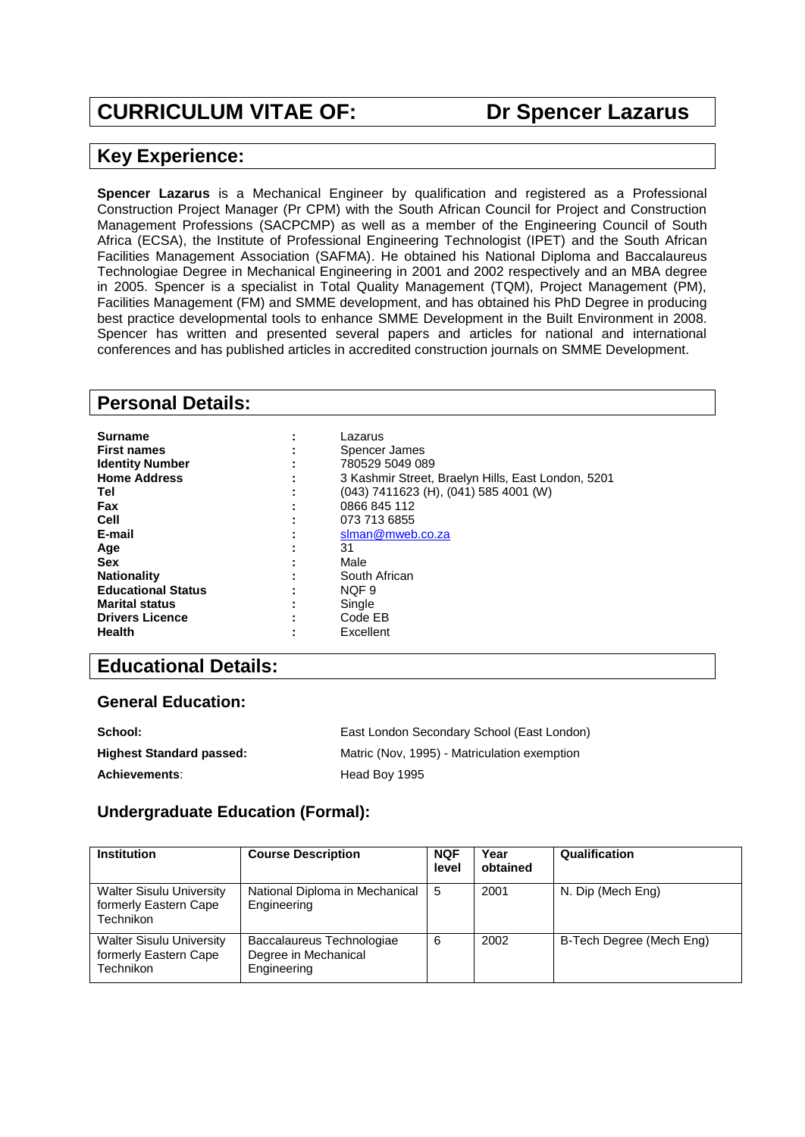# **CURRICULUM VITAE OF: Dr Spencer Lazarus**

### **Key Experience:**

**Spencer Lazarus** is a Mechanical Engineer by qualification and registered as a Professional Construction Project Manager (Pr CPM) with the South African Council for Project and Construction Management Professions (SACPCMP) as well as a member of the Engineering Council of South Africa (ECSA), the Institute of Professional Engineering Technologist (IPET) and the South African Facilities Management Association (SAFMA). He obtained his National Diploma and Baccalaureus Technologiae Degree in Mechanical Engineering in 2001 and 2002 respectively and an MBA degree in 2005. Spencer is a specialist in Total Quality Management (TQM), Project Management (PM), Facilities Management (FM) and SMME development, and has obtained his PhD Degree in producing best practice developmental tools to enhance SMME Development in the Built Environment in 2008. Spencer has written and presented several papers and articles for national and international conferences and has published articles in accredited construction journals on SMME Development.

### **Personal Details:**

| Surname                   | Lazarus                                            |
|---------------------------|----------------------------------------------------|
| <b>First names</b>        | Spencer James                                      |
| <b>Identity Number</b>    | 780529 5049 089                                    |
| <b>Home Address</b>       | 3 Kashmir Street, Braelyn Hills, East London, 5201 |
| Tel                       | (043) 7411623 (H), (041) 585 4001 (W)              |
| Fax                       | 0866 845 112                                       |
| Cell                      | 073 713 6855                                       |
| E-mail                    | slman@mweb.co.za                                   |
| Age                       | 31                                                 |
| <b>Sex</b>                | Male                                               |
| <b>Nationality</b>        | South African                                      |
| <b>Educational Status</b> | NOF <sub>9</sub>                                   |
| <b>Marital status</b>     | Single                                             |
| <b>Drivers Licence</b>    | Code EB                                            |
| <b>Health</b>             | Excellent                                          |

## **Educational Details:**

### **General Education:**

| School:                         | East London Secondary School (East London)   |
|---------------------------------|----------------------------------------------|
| <b>Highest Standard passed:</b> | Matric (Nov. 1995) - Matriculation exemption |
| <b>Achievements:</b>            | Head Boy 1995                                |

### **Undergraduate Education (Formal):**

| <b>Institution</b>                                                    | <b>Course Description</b>                                        | <b>NQF</b><br>level | Year<br>obtained | Qualification            |
|-----------------------------------------------------------------------|------------------------------------------------------------------|---------------------|------------------|--------------------------|
| <b>Walter Sisulu University</b><br>formerly Eastern Cape<br>Technikon | National Diploma in Mechanical<br>Engineering                    | -5                  | 2001             | N. Dip (Mech Eng)        |
| <b>Walter Sisulu University</b><br>formerly Eastern Cape<br>Technikon | Baccalaureus Technologiae<br>Degree in Mechanical<br>Engineering | 6                   | 2002             | B-Tech Degree (Mech Eng) |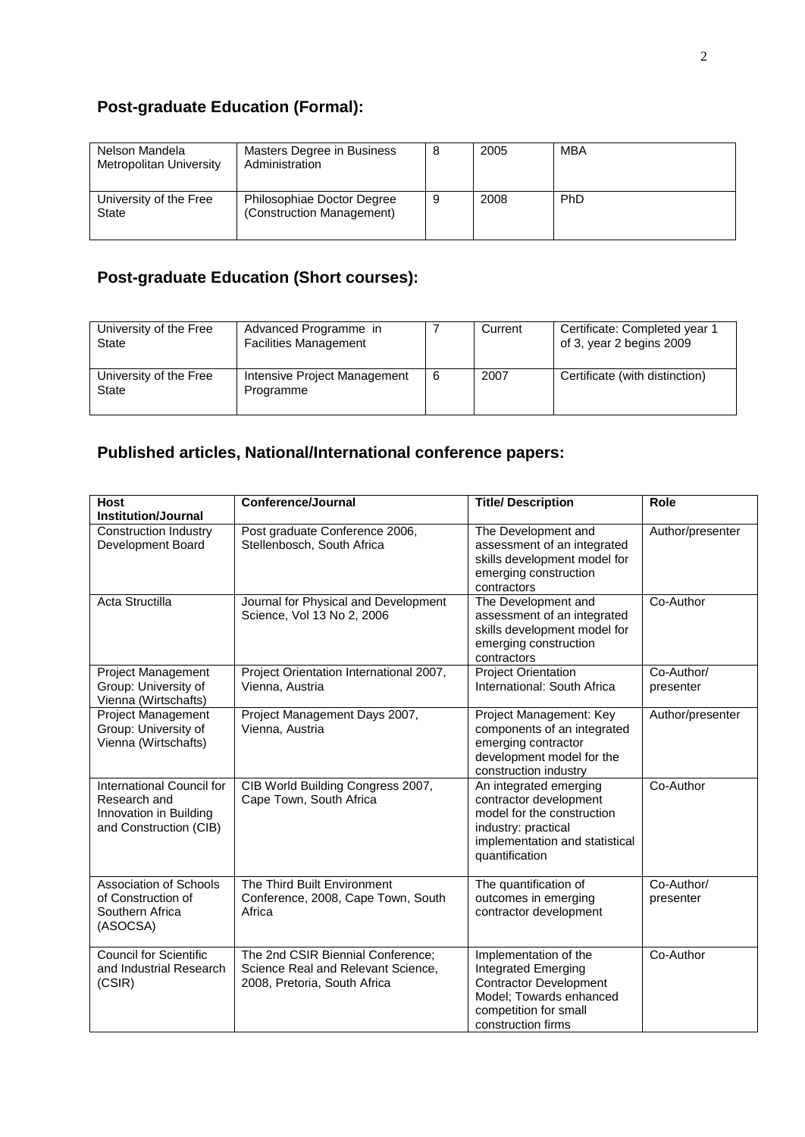# **Post-graduate Education (Formal):**

| Nelson Mandela<br>Metropolitan University | Masters Degree in Business<br>Administration            | 8 | 2005 | MBA |
|-------------------------------------------|---------------------------------------------------------|---|------|-----|
| University of the Free<br>State           | Philosophiae Doctor Degree<br>(Construction Management) | 9 | 2008 | PhD |

# **Post-graduate Education (Short courses):**

| University of the Free<br>State | Advanced Programme in<br><b>Facilities Management</b> |   | Current | Certificate: Completed year 1<br>of 3, year 2 begins 2009 |
|---------------------------------|-------------------------------------------------------|---|---------|-----------------------------------------------------------|
| University of the Free<br>State | Intensive Project Management<br>Programme             | 6 | 2007    | Certificate (with distinction)                            |

# **Published articles, National/International conference papers:**

| <b>Host</b><br><b>Institution/Journal</b>                                                     | <b>Conference/Journal</b>                                                                               | <b>Title/Description</b>                                                                                                                                  | Role                    |
|-----------------------------------------------------------------------------------------------|---------------------------------------------------------------------------------------------------------|-----------------------------------------------------------------------------------------------------------------------------------------------------------|-------------------------|
| <b>Construction Industry</b><br>Development Board                                             | Post graduate Conference 2006,<br>Stellenbosch, South Africa                                            | The Development and<br>assessment of an integrated<br>skills development model for<br>emerging construction<br>contractors                                | Author/presenter        |
| Acta Structilla                                                                               | Journal for Physical and Development<br>Science, Vol 13 No 2, 2006                                      | The Development and<br>assessment of an integrated<br>skills development model for<br>emerging construction<br>contractors                                | Co-Author               |
| <b>Project Management</b><br>Group: University of<br>Vienna (Wirtschafts)                     | Project Orientation International 2007,<br>Vienna, Austria                                              | <b>Project Orientation</b><br>International: South Africa                                                                                                 | Co-Author/<br>presenter |
| <b>Project Management</b><br>Group: University of<br>Vienna (Wirtschafts)                     | Project Management Days 2007,<br>Vienna, Austria                                                        | Project Management: Key<br>components of an integrated<br>emerging contractor<br>development model for the<br>construction industry                       | Author/presenter        |
| International Council for<br>Research and<br>Innovation in Building<br>and Construction (CIB) | CIB World Building Congress 2007,<br>Cape Town, South Africa                                            | An integrated emerging<br>contractor development<br>model for the construction<br>industry: practical<br>implementation and statistical<br>quantification | Co-Author               |
| <b>Association of Schools</b><br>of Construction of<br>Southern Africa<br>(ASOCSA)            | The Third Built Environment<br>Conference, 2008, Cape Town, South<br>Africa                             | The quantification of<br>outcomes in emerging<br>contractor development                                                                                   | Co-Author/<br>presenter |
| <b>Council for Scientific</b><br>and Industrial Research<br>(CSIR)                            | The 2nd CSIR Biennial Conference;<br>Science Real and Relevant Science,<br>2008, Pretoria, South Africa | Implementation of the<br>Integrated Emerging<br><b>Contractor Development</b><br>Model; Towards enhanced<br>competition for small<br>construction firms   | Co-Author               |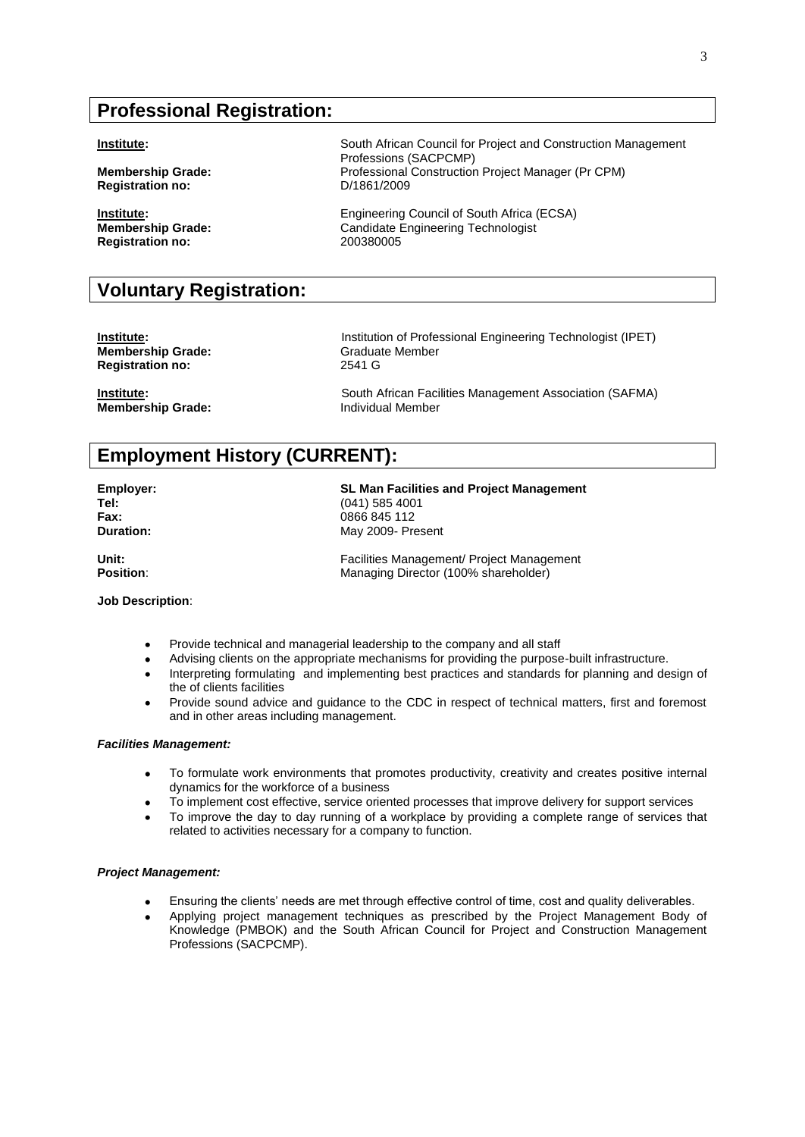## **Professional Registration:**

**Registration no:** 

**Registration no:** 200380005

# **Voluntary Registration:**

**Membership Grade:** Graduate Member<br> **Registration no:** 2541 G **Registration no:** 

**Membership Grade:** 

**Institute:** South African Council for Project and Construction Management Professions (SACPCMP) **Membership Grade:** Professional Construction Project Manager (Pr CPM)<br>
Registration no: D/1861/2009

**Institute: Institute: Engineering Council of South Africa (ECSA)**<br> **Interpretate:** Candidate Engineering Technologist **Membership Grade:** Candidate Engineering Technologist

**Institute: Institution of Professional Engineering Technologist (IPET)** 

**Institute: Institute: South African Facilities Management Association (SAFMA)**<br> **Individual Member**<br> **Individual Member** 

# **Employment History (CURRENT):**

**Employer: SL Man Facilities and Project Management Tel:** (041) 585 4001 **Fax:** 0866 845 112

**Unit:** Facilities Management/ Project Management Position: Managing Director (100% shareholder)

#### **Job Description**:

Provide technical and managerial leadership to the company and all staff

Advising clients on the appropriate mechanisms for providing the purpose-built infrastructure.  $\bullet$ 

**Duration:** May 2009- Present

- Interpreting formulating and implementing best practices and standards for planning and design of  $\bullet$ the of clients facilities
- Provide sound advice and guidance to the CDC in respect of technical matters, first and foremost  $\bullet$ and in other areas including management.

#### *Facilities Management:*

- To formulate work environments that promotes productivity, creativity and creates positive internal  $\bullet$ dynamics for the workforce of a business
- To implement cost effective, service oriented processes that improve delivery for support services
- To improve the day to day running of a workplace by providing a complete range of services that  $\bullet$ related to activities necessary for a company to function.

#### *Project Management:*

- Ensuring the clients' needs are met through effective control of time, cost and quality deliverables.
- Applying project management techniques as prescribed by the Project Management Body of  $\bullet$ Knowledge (PMBOK) and the South African Council for Project and Construction Management Professions (SACPCMP).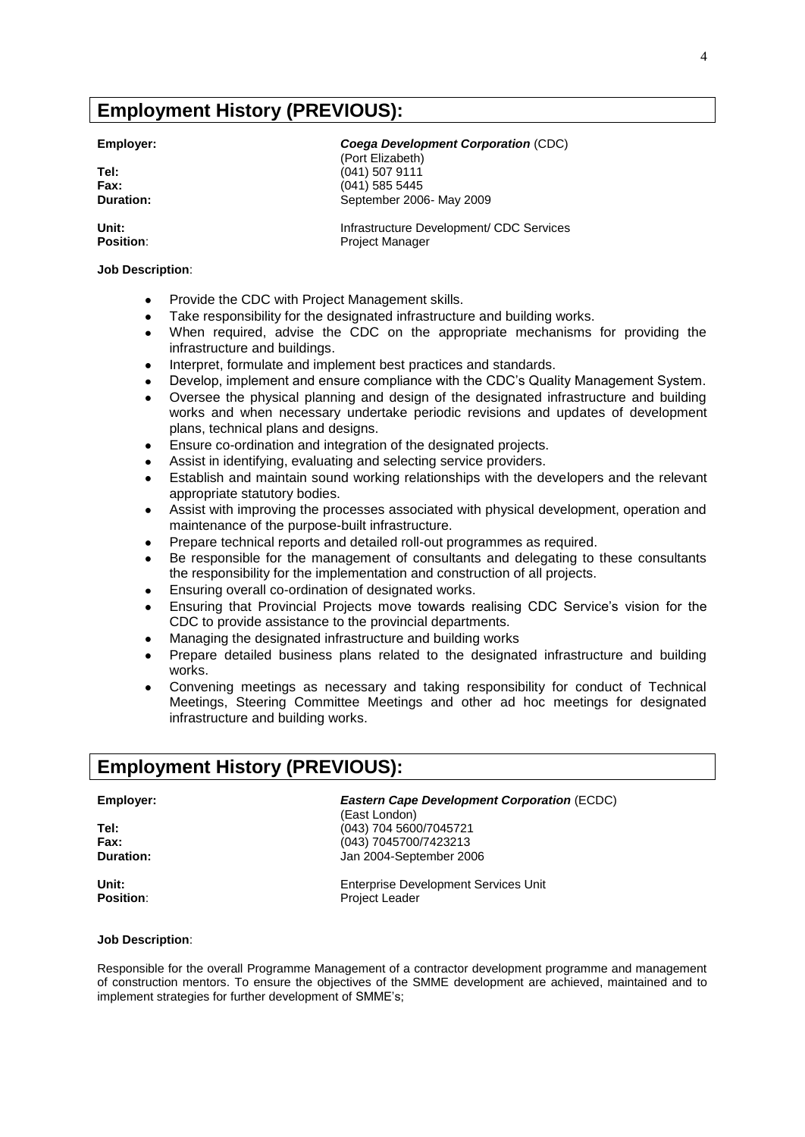## **Employment History (PREVIOUS):**

#### **Job Description**:

- $\bullet$ Provide the CDC with Project Management skills.
- Take responsibility for the designated infrastructure and building works.  $\bullet$
- When required, advise the CDC on the appropriate mechanisms for providing the  $\bullet$ infrastructure and buildings.
- Interpret, formulate and implement best practices and standards.
- Develop, implement and ensure compliance with the CDC's Quality Management System.  $\bullet$
- Oversee the physical planning and design of the designated infrastructure and building  $\bullet$ works and when necessary undertake periodic revisions and updates of development plans, technical plans and designs.
- Ensure co-ordination and integration of the designated projects.  $\bullet$
- Assist in identifying, evaluating and selecting service providers.
- Establish and maintain sound working relationships with the developers and the relevant  $\bullet$ appropriate statutory bodies.
- Assist with improving the processes associated with physical development, operation and  $\bullet$ maintenance of the purpose-built infrastructure.
- Prepare technical reports and detailed roll-out programmes as required.
- Be responsible for the management of consultants and delegating to these consultants the responsibility for the implementation and construction of all projects.
- Ensuring overall co-ordination of designated works.
- Ensuring that Provincial Projects move towards realising CDC Service's vision for the  $\bullet$ CDC to provide assistance to the provincial departments.
- Managing the designated infrastructure and building works
- Prepare detailed business plans related to the designated infrastructure and building works.
- Convening meetings as necessary and taking responsibility for conduct of Technical Meetings, Steering Committee Meetings and other ad hoc meetings for designated infrastructure and building works.

### **Employment History (PREVIOUS):**

### **Employer:** *Eastern Cape Development Corporation* (ECDC)

**Tel:**  $(043)$  704 5600/7045721 **Fax:** (043) 7045700/7423213 **Duration:** Jan 2004-September 2006

**Unit:** Enterprise Development Services Unit Position: Project Leader

**Job Description**:

Responsible for the overall Programme Management of a contractor development programme and management of construction mentors. To ensure the objectives of the SMME development are achieved, maintained and to implement strategies for further development of SMME's;

(East London)

### **Employer:** *Coega Development Corporation* (CDC)

(Port Elizabeth) **Tel:** (041) 507 9111 **Fax:** (041) 585 5445 **Duration:** September 2006- May 2009

**Unit: Infrastructure Development/ CDC Services** Position: Project Manager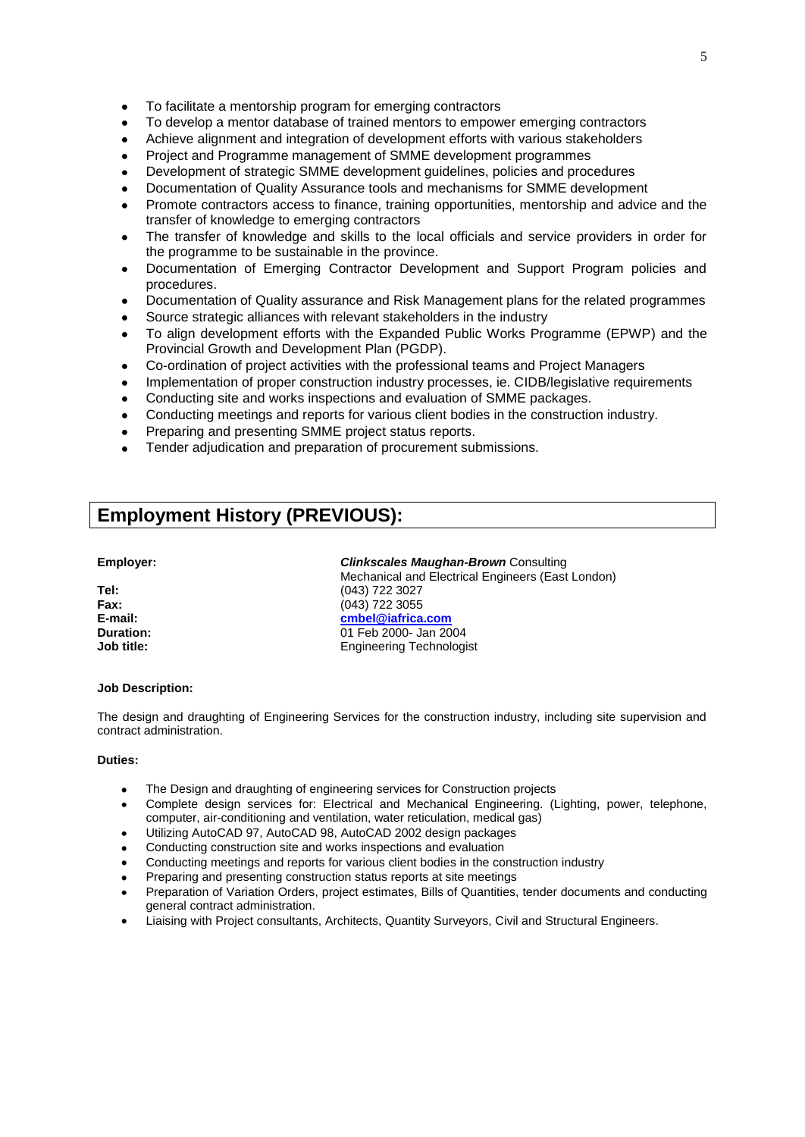- $\bullet$ To facilitate a mentorship program for emerging contractors
- To develop a mentor database of trained mentors to empower emerging contractors  $\ddot{\phantom{a}}$
- Achieve alignment and integration of development efforts with various stakeholders  $\ddot{\phantom{a}}$
- $\bullet$ Project and Programme management of SMME development programmes
- Development of strategic SMME development guidelines, policies and procedures
- Documentation of Quality Assurance tools and mechanisms for SMME development
- Promote contractors access to finance, training opportunities, mentorship and advice and the transfer of knowledge to emerging contractors
- The transfer of knowledge and skills to the local officials and service providers in order for  $\bullet$ the programme to be sustainable in the province.
- Documentation of Emerging Contractor Development and Support Program policies and procedures.
- Documentation of Quality assurance and Risk Management plans for the related programmes  $\bullet$
- Source strategic alliances with relevant stakeholders in the industry
- To align development efforts with the Expanded Public Works Programme (EPWP) and the  $\bullet$ Provincial Growth and Development Plan (PGDP).
- Co-ordination of project activities with the professional teams and Project Managers  $\bullet$
- Implementation of proper construction industry processes, ie. CIDB/legislative requirements
- Conducting site and works inspections and evaluation of SMME packages.  $\bullet$
- Conducting meetings and reports for various client bodies in the construction industry.  $\bullet$
- Preparing and presenting SMME project status reports.
- Tender adjudication and preparation of procurement submissions.

### **Employment History (PREVIOUS):**

| Tel:       |
|------------|
| Fax:       |
| E-mail:    |
| Duration:  |
| Job title: |

#### **Employer:** *Clinkscales Maughan-Brown* Consulting

 Mechanical and Electrical Engineers (East London) **Tel:** (043) 722 3027 **Fax:** (043) 722 3055 **E-mail: [cmbel@iafrica.com](mailto:cmbel@iafrica.com) Duration:** 01 Feb 2000- Jan 2004 **Engineering Technologist** 

#### **Job Description:**

The design and draughting of Engineering Services for the construction industry, including site supervision and contract administration.

### **Duties:**

- The Design and draughting of engineering services for Construction projects
- Complete design services for: Electrical and Mechanical Engineering. (Lighting, power, telephone, computer, air-conditioning and ventilation, water reticulation, medical gas)
- Utilizing AutoCAD 97, AutoCAD 98, AutoCAD 2002 design packages
- Conducting construction site and works inspections and evaluation
- Conducting meetings and reports for various client bodies in the construction industry
- Preparing and presenting construction status reports at site meetings
- Preparation of Variation Orders, project estimates, Bills of Quantities, tender documents and conducting general contract administration.
- Liaising with Project consultants, Architects, Quantity Surveyors, Civil and Structural Engineers.